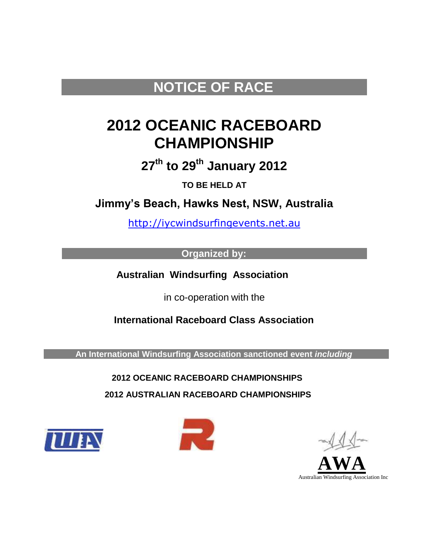## **NOTICE OF RACE**

# **2012 OCEANIC RACEBOARD CHAMPIONSHIP**

**27th to 29th January 2012**

**TO BE HELD AT**

**Jimmy's Beach, Hawks Nest, NSW, Australia**

[http://iycwindsurfingevents.net.au](http://iycwindsurfingevents.net.au/)

**Organized by:**

 **Australian Windsurfing Association**

in co-operation with the

**International Raceboard Class Association**

 **An International Windsurfing Association sanctioned event** *including* 

**2012 OCEANIC RACEBOARD CHAMPIONSHIPS**

**2012 AUSTRALIAN RACEBOARD CHAMPIONSHIPS**





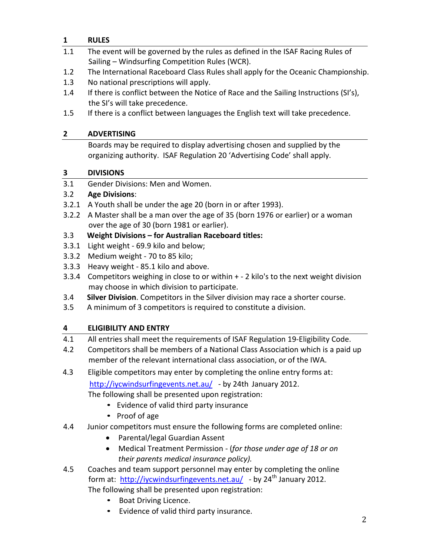## **1 RULES**

- 1.1 The event will be governed by the rules as defined in the ISAF Racing Rules of Sailing – Windsurfing Competition Rules (WCR).
- 1.2 The International Raceboard Class Rules shall apply for the Oceanic Championship.
- 1.3 No national prescriptions will apply.
- 1.4 If there is conflict between the Notice of Race and the Sailing Instructions (SI's), the SI's will take precedence.
- 1.5 If there is a conflict between languages the English text will take precedence.

### **2 ADVERTISING**

Boards may be required to display advertising chosen and supplied by the organizing authority. ISAF Regulation 20 'Advertising Code' shall apply.

## **3 DIVISIONS**

3.1 Gender Divisions: Men and Women.

## 3.2 **Age Divisions**:

- 3.2.1 A Youth shall be under the age 20 (born in or after 1993).
- 3.2.2 A Master shall be a man over the age of 35 (born 1976 or earlier) or a woman over the age of 30 (born 1981 or earlier).

## 3.3 **Weight Divisions – for Australian Raceboard titles:**

- 3.3.1 Light weight ‐ 69.9 kilo and below;
- 3.3.2 Medium weight ‐ 70 to 85 kilo;
- 3.3.3 Heavy weight ‐ 85.1 kilo and above.
- 3.3.4 Competitors weighing in close to or within + ‐ 2 kilo's to the next weight division may choose in which division to participate.
- 3.4 **Silver Division**. Competitors in the Silver division may race a shorter course.
- 3.5 A minimum of 3 competitors is required to constitute a division.

## **4 ELIGIBILITY AND ENTRY**

- 4.1 All entries shall meet the requirements of ISAF Regulation 19-Eligibility Code.
- 4.2 Competitors shall be members of a National Class Association which is a paid up member of the relevant international class association, or of the IWA.

 4.3 Eligible competitors may enter by completing the online entry forms at: <http://iycwindsurfingevents.net.au/>- by 24th January 2012.

The following shall be presented upon registration:

- Evidence of valid third party insurance
- Proof of age
- 4.4 Junior competitors must ensure the following forms are completed online:
	- Parental/legal Guardian Assent
	- Medical Treatment Permission (*for those under age of 18 or on their parents medical insurance policy).*
- 4.5 Coaches and team support personnel may enter by completing the online form at: <http://iycwindsurfingevents.net.au/>- by  $24<sup>th</sup>$  January 2012. The following shall be presented upon registration:
	- Boat Driving Licence.
	- Evidence of valid third party insurance.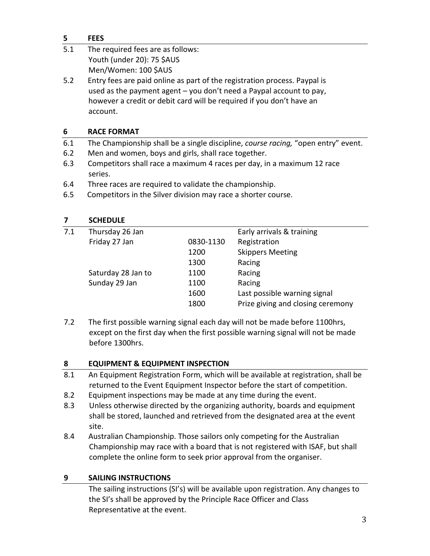#### **5 FEES**

| 5.1 | The required fees are as follows: |
|-----|-----------------------------------|
|     | Youth (under 20): 75 \$AUS        |
|     | Men/Women: 100 \$AUS              |

5.2 Entry fees are paid online as part of the registration process. Paypal is used as the payment agent – you don't need a Paypal account to pay, however a credit or debit card will be required if you don't have an account.

#### **6 RACE FORMAT**

- 6.1 The Championship shall be a single discipline, *course racing,* "open entry" event.
- 6.2 Men and women, boys and girls, shall race together.
- 6.3 Competitors shall race a maximum 4 races per day, in a maximum 12 race series.
- 6.4 Three races are required to validate the championship.
- 6.5 Competitors in the Silver division may race a shorter course.

#### **7 SCHEDULE**

| 7.1 | Thursday 26 Jan    |           | Early arrivals & training         |
|-----|--------------------|-----------|-----------------------------------|
|     | Friday 27 Jan      | 0830-1130 | Registration                      |
|     |                    | 1200      | <b>Skippers Meeting</b>           |
|     |                    | 1300      | Racing                            |
|     | Saturday 28 Jan to | 1100      | Racing                            |
|     | Sunday 29 Jan      | 1100      | Racing                            |
|     |                    | 1600      | Last possible warning signal      |
|     |                    | 1800      | Prize giving and closing ceremony |
|     |                    |           |                                   |

7.2 The first possible warning signal each day will not be made before 1100hrs, except on the first day when the first possible warning signal will not be made before 1300hrs.

#### **8 EQUIPMENT & EQUIPMENT INSPECTION**

- 8.1 An Equipment Registration Form, which will be available at registration, shall be returned to the Event Equipment Inspector before the start of competition.
- 8.2 Equipment inspections may be made at any time during the event.
- 8.3 Unless otherwise directed by the organizing authority, boards and equipment shall be stored, launched and retrieved from the designated area at the event site.
- 8.4 Australian Championship. Those sailors only competing for the Australian Championship may race with a board that is not registered with ISAF, but shall complete the online form to seek prior approval from the organiser.

#### **9 SAILING INSTRUCTIONS**

The sailing instructions (SI's) will be available upon registration. Any changes to the SI's shall be approved by the Principle Race Officer and Class Representative at the event.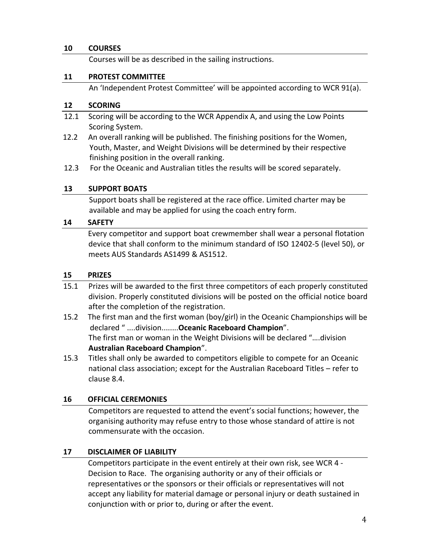#### **10 COURSES**

Courses will be as described in the sailing instructions.

#### **11 PROTEST COMMITTEE**

An 'Independent Protest Committee' will be appointed according to WCR 91(a).

#### **12 SCORING**

- 12.1 Scoring will be according to the WCR Appendix A, and using the Low Points Scoring System.
- 12.2 An overall ranking will be published. The finishing positions for the Women, Youth, Master, and Weight Divisions will be determined by their respective finishing position in the overall ranking.
- 12.3 For the Oceanic and Australian titles the results will be scored separately.

#### **13 SUPPORT BOATS**

Support boats shall be registered at the race office. Limited charter may be available and may be applied for using the coach entry form.

#### **14 SAFETY**

 Every competitor and support boat crewmember shall wear a personal flotation device that shall conform to the minimum standard of ISO 12402‐5 (level 50), or meets AUS Standards AS1499 & AS1512.

#### **15 PRIZES**

- 15.1 Prizes will be awarded to the first three competitors of each properly constituted division. Properly constituted divisions will be posted on the official notice board after the completion of the registration.
- 15.2 The first man and the first woman (boy/girl) in the Oceanic Championships will be declared " ....division........**Oceanic Raceboard Champion**". The first man or woman in the Weight Divisions will be declared "….division **Australian Raceboard Champion**".
- 15.3 Titles shall only be awarded to competitors eligible to compete for an Oceanic national class association; except for the Australian Raceboard Titles – refer to clause 8.4.

#### **16 OFFICIAL CEREMONIES**

Competitors are requested to attend the event's social functions; however, the organising authority may refuse entry to those whose standard of attire is not commensurate with the occasion.

#### **17 DISCLAIMER OF LIABILITY**

Competitors participate in the event entirely at their own risk, see WCR 4 ‐ Decision to Race. The organising authority or any of their officials or representatives or the sponsors or their officials or representatives will not accept any liability for material damage or personal injury or death sustained in conjunction with or prior to, during or after the event.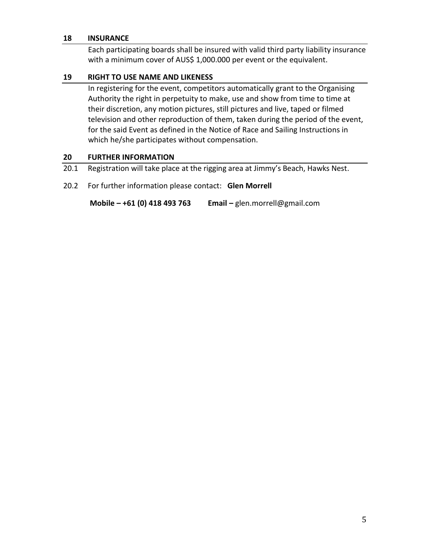#### **18 INSURANCE**

Each participating boards shall be insured with valid third party liability insurance with a minimum cover of AUS\$ 1,000.000 per event or the equivalent.

#### **19 RIGHT TO USE NAME AND LIKENESS**

In registering for the event, competitors automatically grant to the Organising Authority the right in perpetuity to make, use and show from time to time at their discretion, any motion pictures, still pictures and live, taped or filmed television and other reproduction of them, taken during the period of the event, for the said Event as defined in the Notice of Race and Sailing Instructions in which he/she participates without compensation.

#### **20 FURTHER INFORMATION**

- 20.1 Registration will take place at the rigging area at Jimmy's Beach, Hawks Nest.
- 20.2 For further information please contact: **Glen Morrell**

**Mobile – +61 (0) 418 493 763 Email –** glen.morrell@gmail.com